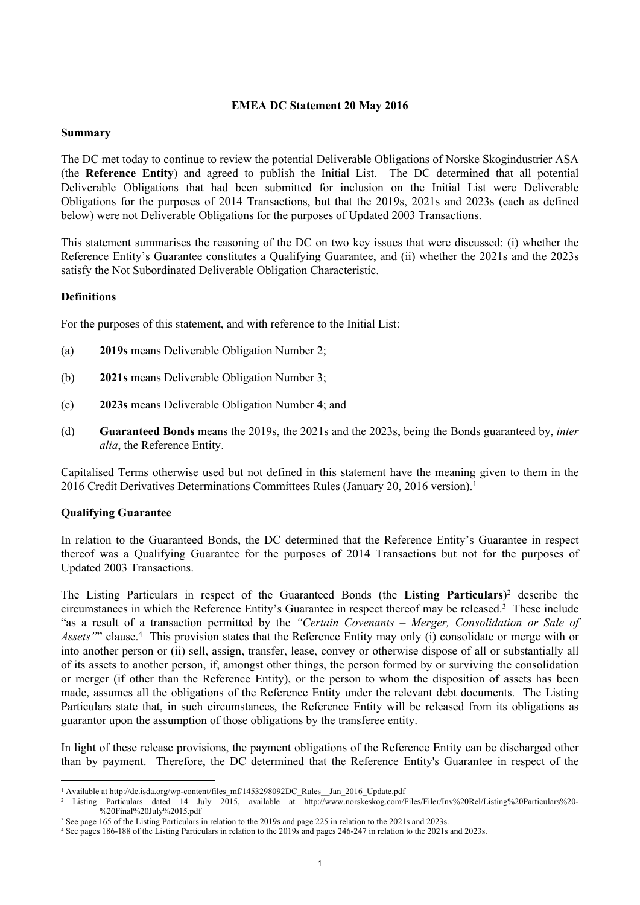# **EMEA DC Statement 20 May 2016**

## **Summary**

The DC met today to continue to review the potential Deliverable Obligations of Norske Skogindustrier ASA (the **Reference Entity**) and agreed to publish the Initial List. The DC determined that all potential Deliverable Obligations that had been submitted for inclusion on the Initial List were Deliverable Obligations for the purposes of 2014 Transactions, but that the 2019s, 2021s and 2023s (each as defined below) were not Deliverable Obligations for the purposes of Updated 2003 Transactions.

This statement summarises the reasoning of the DC on two key issues that were discussed: (i) whether the Reference Entity's Guarantee constitutes a Qualifying Guarantee, and (ii) whether the 2021s and the 2023s satisfy the Not Subordinated Deliverable Obligation Characteristic.

#### **Definitions**

For the purposes of this statement, and with reference to the Initial List:

- (a) **2019s** means Deliverable Obligation Number 2;
- (b) **2021s** means Deliverable Obligation Number 3;
- (c) **2023s** means Deliverable Obligation Number 4; and
- (d) **Guaranteed Bonds** means the 2019s, the 2021s and the 2023s, being the Bonds guaranteed by, *inter alia*, the Reference Entity.

Capitalised Terms otherwise used but not defined in this statement have the meaning given to them in the 2016 Credit Derivatives Determinations Committees Rules (January 20, 2016 version).<sup>1</sup>

## **Qualifying Guarantee**

In relation to the Guaranteed Bonds, the DC determined that the Reference Entity's Guarantee in respect thereof was a Qualifying Guarantee for the purposes of 2014 Transactions but not for the purposes of Updated 2003 Transactions.

The Listing Particulars in respect of the Guaranteed Bonds (the **Listing Particulars**) <sup>2</sup> describe the circumstances in which the Reference Entity's Guarantee in respect thereof may be released.<sup>3</sup> These include "as a result of a transaction permitted by the *"Certain Covenants – Merger, Consolidation or Sale of* Assets<sup>'</sup>" clause.<sup>4</sup> This provision states that the Reference Entity may only (i) consolidate or merge with or into another person or (ii) sell, assign, transfer, lease, convey or otherwise dispose of all or substantially all of its assets to another person, if, amongst other things, the person formed by or surviving the consolidation or merger (if other than the Reference Entity), or the person to whom the disposition of assets has been made, assumes all the obligations of the Reference Entity under the relevant debt documents. The Listing Particulars state that, in such circumstances, the Reference Entity will be released from its obligations as guarantor upon the assumption of those obligations by the transferee entity.

In light of these release provisions, the payment obligations of the Reference Entity can be discharged other than by payment. Therefore, the DC determined that the Reference Entity's Guarantee in respect of the

<sup>&</sup>lt;sup>1</sup> Available at http://dc.isda.org/wp-content/files\_mf/1453298092DC\_Rules\_Jan\_2016\_Update.pdf

<sup>2</sup> Listing Particulars dated 14 July 2015, available at http://www.norskeskog.com/Files/Filer/Inv%20Rel/Listing%20Particulars%20- %20Final%20July%2015.pdf

<sup>&</sup>lt;sup>3</sup> See page 165 of the Listing Particulars in relation to the 2019s and page 225 in relation to the 2021s and 2023s.

<sup>4</sup> See pages 186-188 of the Listing Particulars in relation to the 2019s and pages 246-247 in relation to the 2021s and 2023s.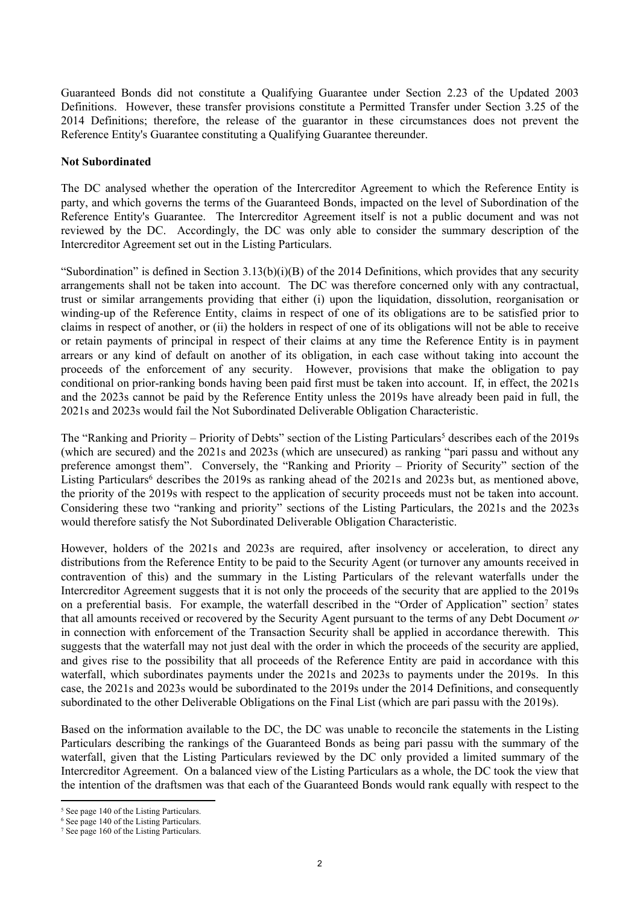Guaranteed Bonds did not constitute a Qualifying Guarantee under Section 2.23 of the Updated 2003 Definitions. However, these transfer provisions constitute a Permitted Transfer under Section 3.25 of the 2014 Definitions; therefore, the release of the guarantor in these circumstances does not prevent the Reference Entity's Guarantee constituting a Qualifying Guarantee thereunder.

### **Not Subordinated**

The DC analysed whether the operation of the Intercreditor Agreement to which the Reference Entity is party, and which governs the terms of the Guaranteed Bonds, impacted on the level of Subordination of the Reference Entity's Guarantee. The Intercreditor Agreement itself is not a public document and was not reviewed by the DC. Accordingly, the DC was only able to consider the summary description of the Intercreditor Agreement set out in the Listing Particulars.

"Subordination" is defined in Section  $3.13(b)(i)(B)$  of the 2014 Definitions, which provides that any security arrangements shall not be taken into account. The DC was therefore concerned only with any contractual, trust or similar arrangements providing that either (i) upon the liquidation, dissolution, reorganisation or winding-up of the Reference Entity, claims in respect of one of its obligations are to be satisfied prior to claims in respect of another, or (ii) the holders in respect of one of its obligations will not be able to receive or retain payments of principal in respect of their claims at any time the Reference Entity is in payment arrears or any kind of default on another of its obligation, in each case without taking into account the proceeds of the enforcement of any security. However, provisions that make the obligation to pay conditional on prior-ranking bonds having been paid first must be taken into account. If, in effect, the 2021s and the 2023s cannot be paid by the Reference Entity unless the 2019s have already been paid in full, the 2021s and 2023s would fail the Not Subordinated Deliverable Obligation Characteristic.

The "Ranking and Priority – Priority of Debts" section of the Listing Particulars<sup>5</sup> describes each of the 2019s (which are secured) and the 2021s and 2023s (which are unsecured) as ranking "pari passu and without any preference amongst them". Conversely, the "Ranking and Priority – Priority of Security" section of the Listing Particulars<sup>6</sup> describes the 2019s as ranking ahead of the 2021s and 2023s but, as mentioned above, the priority of the 2019s with respect to the application of security proceeds must not be taken into account. Considering these two "ranking and priority" sections of the Listing Particulars, the 2021s and the 2023s would therefore satisfy the Not Subordinated Deliverable Obligation Characteristic.

However, holders of the 2021s and 2023s are required, after insolvency or acceleration, to direct any distributions from the Reference Entity to be paid to the Security Agent (or turnover any amounts received in contravention of this) and the summary in the Listing Particulars of the relevant waterfalls under the Intercreditor Agreement suggests that it is not only the proceeds of the security that are applied to the 2019s on a preferential basis. For example, the waterfall described in the "Order of Application" section<sup>7</sup> states that all amounts received or recovered by the Security Agent pursuant to the terms of any Debt Document *or* in connection with enforcement of the Transaction Security shall be applied in accordance therewith. This suggests that the waterfall may not just deal with the order in which the proceeds of the security are applied, and gives rise to the possibility that all proceeds of the Reference Entity are paid in accordance with this waterfall, which subordinates payments under the 2021s and 2023s to payments under the 2019s. In this case, the 2021s and 2023s would be subordinated to the 2019s under the 2014 Definitions, and consequently subordinated to the other Deliverable Obligations on the Final List (which are pari passu with the 2019s).

Based on the information available to the DC, the DC was unable to reconcile the statements in the Listing Particulars describing the rankings of the Guaranteed Bonds as being pari passu with the summary of the waterfall, given that the Listing Particulars reviewed by the DC only provided a limited summary of the Intercreditor Agreement. On a balanced view of the Listing Particulars as a whole, the DC took the view that the intention of the draftsmen was that each of the Guaranteed Bonds would rank equally with respect to the

<sup>5</sup> See page 140 of the Listing Particulars.

<sup>&</sup>lt;sup>6</sup> See page 140 of the Listing Particulars.

<sup>7</sup> See page 160 of the Listing Particulars.